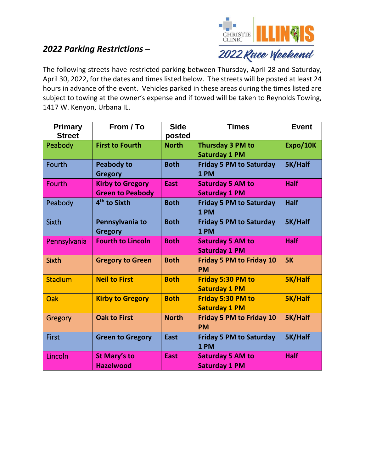## *2022 Parking Restrictions –*



The following streets have restricted parking between Thursday, April 28 and Saturday, April 30, 2022, for the dates and times listed below. The streets will be posted at least 24 hours in advance of the event. Vehicles parked in these areas during the times listed are subject to towing at the owner's expense and if towed will be taken to Reynolds Towing, 1417 W. Kenyon, Urbana IL.

| <b>Primary</b><br><b>Street</b> | From / To                                          | <b>Side</b><br>posted | <b>Times</b>                                     | <b>Event</b>   |
|---------------------------------|----------------------------------------------------|-----------------------|--------------------------------------------------|----------------|
| Peabody                         | <b>First to Fourth</b>                             | <b>North</b>          | Thursday 3 PM to<br><b>Saturday 1 PM</b>         | Expo/10K       |
| Fourth                          | <b>Peabody to</b><br><b>Gregory</b>                | <b>Both</b>           | <b>Friday 5 PM to Saturday</b><br>1 PM           | 5K/Half        |
| Fourth                          | <b>Kirby to Gregory</b><br><b>Green to Peabody</b> | <b>East</b>           | <b>Saturday 5 AM to</b><br><b>Saturday 1 PM</b>  | <b>Half</b>    |
| Peabody                         | 4 <sup>th</sup> to Sixth                           | <b>Both</b>           | <b>Friday 5 PM to Saturday</b><br>1 PM           | <b>Half</b>    |
| <b>Sixth</b>                    | Pennsylvania to<br><b>Gregory</b>                  | <b>Both</b>           | <b>Friday 5 PM to Saturday</b><br>1 PM           | 5K/Half        |
| Pennsylvania                    | <b>Fourth to Lincoln</b>                           | <b>Both</b>           | <b>Saturday 5 AM to</b><br><b>Saturday 1 PM</b>  | <b>Half</b>    |
| <b>Sixth</b>                    | <b>Gregory to Green</b>                            | <b>Both</b>           | <b>Friday 5 PM to Friday 10</b><br><b>PM</b>     | <b>5K</b>      |
| <b>Stadium</b>                  | <b>Neil to First</b>                               | <b>Both</b>           | <b>Friday 5:30 PM to</b><br><b>Saturday 1 PM</b> | <b>5K/Half</b> |
| Oak                             | <b>Kirby to Gregory</b>                            | <b>Both</b>           | <b>Friday 5:30 PM to</b><br><b>Saturday 1 PM</b> | <b>5K/Half</b> |
| Gregory                         | <b>Oak to First</b>                                | <b>North</b>          | <b>Friday 5 PM to Friday 10</b><br><b>PM</b>     | 5K/Half        |
| <b>First</b>                    | <b>Green to Gregory</b>                            | <b>East</b>           | <b>Friday 5 PM to Saturday</b><br>1 PM           | 5K/Half        |
| Lincoln                         | <b>St Mary's to</b><br><b>Hazelwood</b>            | East                  | <b>Saturday 5 AM to</b><br><b>Saturday 1 PM</b>  | <b>Half</b>    |